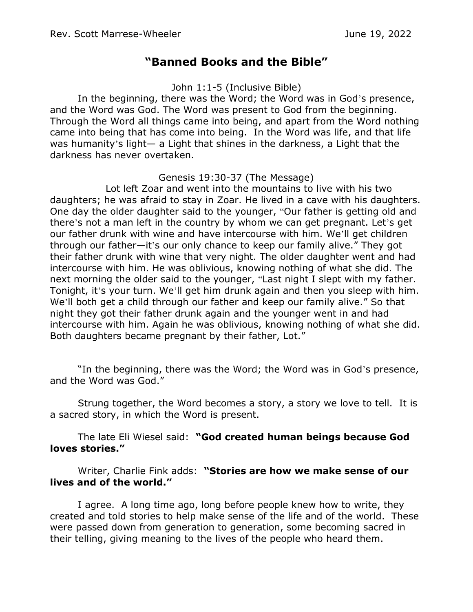## **"Banned Books and the Bible"**

John 1:1-5 (Inclusive Bible)

In the beginning, there was the Word; the Word was in God's presence, and the Word was God. The Word was present to God from the beginning. Through the Word all things came into being, and apart from the Word nothing came into being that has come into being. In the Word was life, and that life was humanity's light— a Light that shines in the darkness, a Light that the darkness has never overtaken.

## Genesis 19:30-37 (The Message)

Lot left Zoar and went into the mountains to live with his two daughters; he was afraid to stay in Zoar. He lived in a cave with his daughters. One day the older daughter said to the younger, "Our father is getting old and there's not a man left in the country by whom we can get pregnant. Let's get our father drunk with wine and have intercourse with him. We'll get children through our father—it's our only chance to keep our family alive." They got their father drunk with wine that very night. The older daughter went and had intercourse with him. He was oblivious, knowing nothing of what she did. The next morning the older said to the younger, "Last night I slept with my father. Tonight, it's your turn. We'll get him drunk again and then you sleep with him. We'll both get a child through our father and keep our family alive." So that night they got their father drunk again and the younger went in and had intercourse with him. Again he was oblivious, knowing nothing of what she did. Both daughters became pregnant by their father, Lot."

"In the beginning, there was the Word; the Word was in God's presence, and the Word was God."

Strung together, the Word becomes a story, a story we love to tell. It is a sacred story, in which the Word is present.

The late Eli Wiesel said: **"God created human beings because God loves stories."** 

Writer, Charlie Fink adds: **"Stories are how we make sense of our lives and of the world."**

I agree. A long time ago, long before people knew how to write, they created and told stories to help make sense of the life and of the world. These were passed down from generation to generation, some becoming sacred in their telling, giving meaning to the lives of the people who heard them.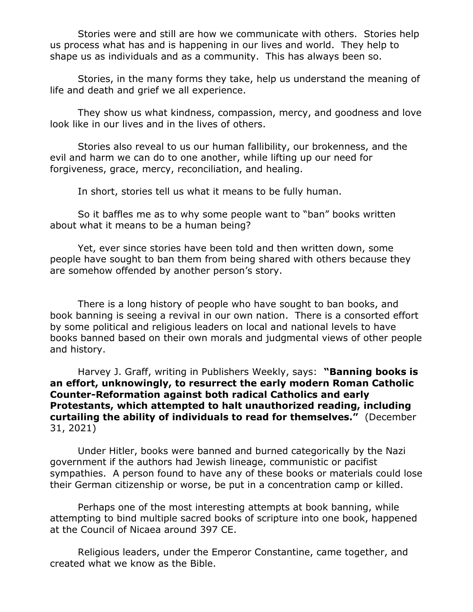Stories were and still are how we communicate with others. Stories help us process what has and is happening in our lives and world. They help to shape us as individuals and as a community. This has always been so.

Stories, in the many forms they take, help us understand the meaning of life and death and grief we all experience.

They show us what kindness, compassion, mercy, and goodness and love look like in our lives and in the lives of others.

Stories also reveal to us our human fallibility, our brokenness, and the evil and harm we can do to one another, while lifting up our need for forgiveness, grace, mercy, reconciliation, and healing.

In short, stories tell us what it means to be fully human.

So it baffles me as to why some people want to "ban" books written about what it means to be a human being?

Yet, ever since stories have been told and then written down, some people have sought to ban them from being shared with others because they are somehow offended by another person's story.

There is a long history of people who have sought to ban books, and book banning is seeing a revival in our own nation. There is a consorted effort by some political and religious leaders on local and national levels to have books banned based on their own morals and judgmental views of other people and history.

Harvey J. Graff, writing in Publishers Weekly, says: **"Banning books is an effort, unknowingly, to resurrect the early modern Roman Catholic Counter-Reformation against both radical Catholics and early Protestants, which attempted to halt unauthorized reading, including curtailing the ability of individuals to read for themselves."** (December 31, 2021)

Under Hitler, books were banned and burned categorically by the Nazi government if the authors had Jewish lineage, communistic or pacifist sympathies. A person found to have any of these books or materials could lose their German citizenship or worse, be put in a concentration camp or killed.

Perhaps one of the most interesting attempts at book banning, while attempting to bind multiple sacred books of scripture into one book, happened at the Council of Nicaea around 397 CE.

Religious leaders, under the Emperor Constantine, came together, and created what we know as the Bible.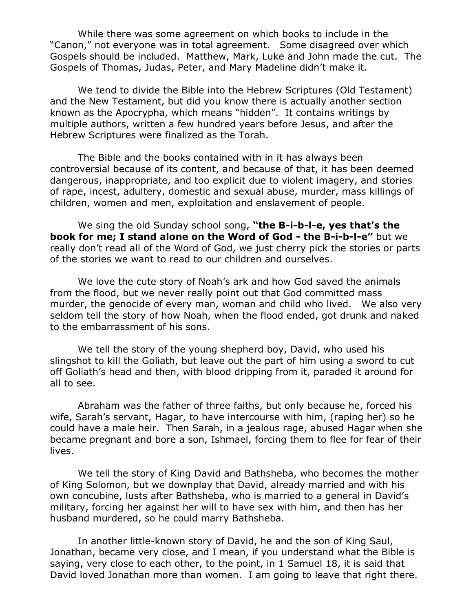While there was some agreement on which books to include in the "Canon," not everyone was in total agreement. Some disagreed over which Gospels should be included. Matthew, Mark, Luke and John made the cut. The Gospels of Thomas, Judas, Peter, and Mary Madeline didn't make it.

We tend to divide the Bible into the Hebrew Scriptures (Old Testament) and the New Testament, but did you know there is actually another section known as the Apocrypha, which means "hidden". It contains writings by multiple authors, written a few hundred years before Jesus, and after the Hebrew Scriptures were finalized as the Torah.

The Bible and the books contained with in it has always been controversial because of its content, and because of that, it has been deemed dangerous, inappropriate, and too explicit due to violent imagery, and stories of rape, incest, adultery, domestic and sexual abuse, murder, mass killings of children, women and men, exploitation and enslavement of people.

We sing the old Sunday school song, **"the B-i-b-l-e, yes that's the book for me; I stand alone on the Word of God - the B-i-b-l-e"** but we really don't read all of the Word of God, we just cherry pick the stories or parts of the stories we want to read to our children and ourselves.

We love the cute story of Noah's ark and how God saved the animals from the flood, but we never really point out that God committed mass murder, the genocide of every man, woman and child who lived. We also very seldom tell the story of how Noah, when the flood ended, got drunk and naked to the embarrassment of his sons.

We tell the story of the young shepherd boy, David, who used his slingshot to kill the Goliath, but leave out the part of him using a sword to cut off Goliath's head and then, with blood dripping from it, paraded it around for all to see.

Abraham was the father of three faiths, but only because he, forced his wife, Sarah's servant, Hagar, to have intercourse with him, (raping her) so he could have a male heir. Then Sarah, in a jealous rage, abused Hagar when she became pregnant and bore a son, Ishmael, forcing them to flee for fear of their lives.

We tell the story of King David and Bathsheba, who becomes the mother of King Solomon, but we downplay that David, already married and with his own concubine, lusts after Bathsheba, who is married to a general in David's military, forcing her against her will to have sex with him, and then has her husband murdered, so he could marry Bathsheba.

In another little-known story of David, he and the son of King Saul, Jonathan, became very close, and I mean, if you understand what the Bible is saying, very close to each other, to the point, in 1 Samuel 18, it is said that David loved Jonathan more than women. I am going to leave that right there.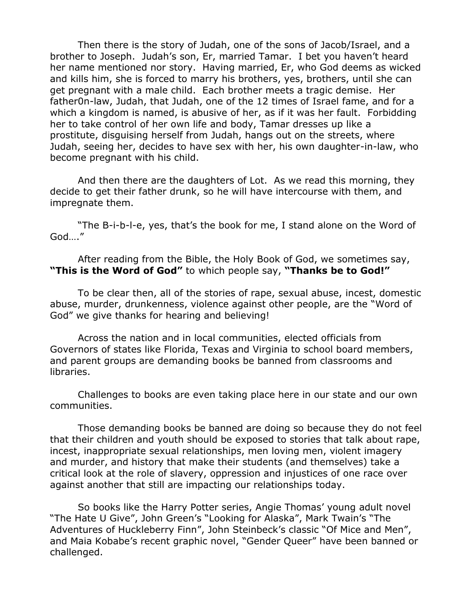Then there is the story of Judah, one of the sons of Jacob/Israel, and a brother to Joseph. Judah's son, Er, married Tamar. I bet you haven't heard her name mentioned nor story. Having married, Er, who God deems as wicked and kills him, she is forced to marry his brothers, yes, brothers, until she can get pregnant with a male child. Each brother meets a tragic demise. Her father0n-law, Judah, that Judah, one of the 12 times of Israel fame, and for a which a kingdom is named, is abusive of her, as if it was her fault. Forbidding her to take control of her own life and body, Tamar dresses up like a prostitute, disguising herself from Judah, hangs out on the streets, where Judah, seeing her, decides to have sex with her, his own daughter-in-law, who become pregnant with his child.

And then there are the daughters of Lot. As we read this morning, they decide to get their father drunk, so he will have intercourse with them, and impregnate them.

"The B-i-b-l-e, yes, that's the book for me, I stand alone on the Word of God…."

After reading from the Bible, the Holy Book of God, we sometimes say, **"This is the Word of God"** to which people say, **"Thanks be to God!"** 

To be clear then, all of the stories of rape, sexual abuse, incest, domestic abuse, murder, drunkenness, violence against other people, are the "Word of God" we give thanks for hearing and believing!

Across the nation and in local communities, elected officials from Governors of states like Florida, Texas and Virginia to school board members, and parent groups are demanding books be banned from classrooms and libraries.

Challenges to books are even taking place here in our state and our own communities.

Those demanding books be banned are doing so because they do not feel that their children and youth should be exposed to stories that talk about rape, incest, inappropriate sexual relationships, men loving men, violent imagery and murder, and history that make their students (and themselves) take a critical look at the role of slavery, oppression and injustices of one race over against another that still are impacting our relationships today.

So books like the Harry Potter series, Angie Thomas' young adult novel "The Hate U Give", John Green's "Looking for Alaska", Mark Twain's "The Adventures of Huckleberry Finn", John Steinbeck's classic "Of Mice and Men", and Maia Kobabe's recent graphic novel, "Gender Queer" have been banned or challenged.